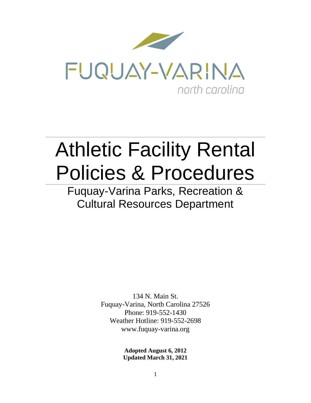

# Athletic Facility Rental Policies & Procedures

Fuquay-Varina Parks, Recreation & Cultural Resources Department

> 134 N. Main St. Fuquay-Varina, North Carolina 27526 Phone: 919-552-1430 Weather Hotline: 919-552-2698 www.fuquay-varina.org

> > **Adopted August 6, 2012 Updated March 31, 2021**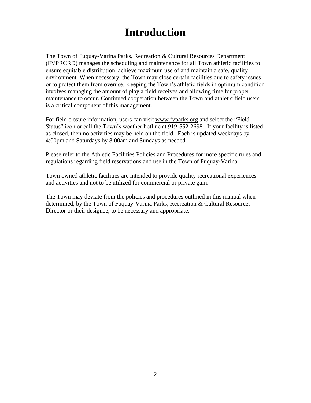### **Introduction**

The Town of Fuquay-Varina Parks, Recreation & Cultural Resources Department (FVPRCRD) manages the scheduling and maintenance for all Town athletic facilities to ensure equitable distribution, achieve maximum use of and maintain a safe, quality environment. When necessary, the Town may close certain facilities due to safety issues or to protect them from overuse. Keeping the Town's athletic fields in optimum condition involves managing the amount of play a field receives and allowing time for proper maintenance to occur. Continued cooperation between the Town and athletic field users is a critical component of this management.

For field closure information, users can visit [www.fvparks.org](http://www.fvparks.org/) and select the "Field Status" icon or call the Town's weather hotline at 919-552-2698. If your facility is listed as closed, then no activities may be held on the field. Each is updated weekdays by 4:00pm and Saturdays by 8:00am and Sundays as needed.

Please refer to the Athletic Facilities Policies and Procedures for more specific rules and regulations regarding field reservations and use in the Town of Fuquay-Varina.

Town owned athletic facilities are intended to provide quality recreational experiences and activities and not to be utilized for commercial or private gain.

The Town may deviate from the policies and procedures outlined in this manual when determined, by the Town of Fuquay-Varina Parks, Recreation & Cultural Resources Director or their designee, to be necessary and appropriate.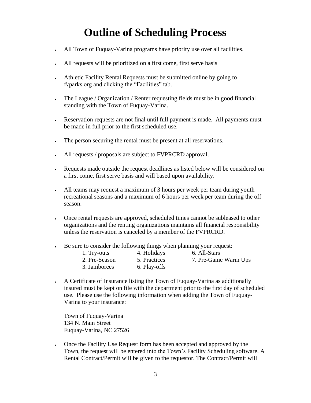## **Outline of Scheduling Process**

- All Town of Fuquay-Varina programs have priority use over all facilities.
- All requests will be prioritized on a first come, first serve basis
- Athletic Facility Rental Requests must be submitted online by going to fvparks.org and clicking the "Facilities" tab.
- The League / Organization / Renter requesting fields must be in good financial standing with the Town of Fuquay-Varina.
- Reservation requests are not final until full payment is made. All payments must be made in full prior to the first scheduled use.
- The person securing the rental must be present at all reservations.
- All requests / proposals are subject to FVPRCRD approval.
- Requests made outside the request deadlines as listed below will be considered on a first come, first serve basis and will based upon availability.
- All teams may request a maximum of 3 hours per week per team during youth recreational seasons and a maximum of 6 hours per week per team during the off season.
- Once rental requests are approved, scheduled times cannot be subleased to other organizations and the renting organizations maintains all financial responsibility unless the reservation is canceled by a member of the FVPRCRD.
- Be sure to consider the following things when planning your request:

| 1. Try-outs   | 4. Holidays  | 6. All-Stars         |
|---------------|--------------|----------------------|
| 2. Pre-Season | 5. Practices | 7. Pre-Game Warm Ups |
| 3. Jamborees  | 6. Play-offs |                      |

• A Certificate of Insurance listing the Town of Fuquay-Varina as additionally insured must be kept on file with the department prior to the first day of scheduled use. Please use the following information when adding the Town of Fuquay-Varina to your insurance:

Town of Fuquay-Varina 134 N. Main Street Fuquay-Varina, NC 27526

• Once the Facility Use Request form has been accepted and approved by the Town, the request will be entered into the Town's Facility Scheduling software. A Rental Contract/Permit will be given to the requestor. The Contract/Permit will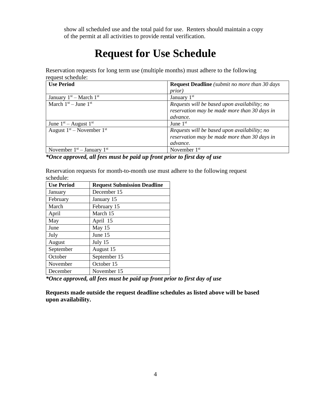show all scheduled use and the total paid for use. Renters should maintain a copy of the permit at all activities to provide rental verification.

## **Request for Use Schedule**

Reservation requests for long term use (multiple months) must adhere to the following request schedule:

| <b>Use Period</b>              | <b>Request Deadline</b> (submit no more than 30 days |
|--------------------------------|------------------------------------------------------|
|                                | <i>prior</i> )                                       |
| January $1st$ – March $1st$    | January $1st$                                        |
| March $1st - June 1st$         | Requests will be based upon availability; no         |
|                                | reservation may be made more than 30 days in         |
|                                | advance.                                             |
| June $1st$ – August $1st$      | June $1st$                                           |
| August $1st$ – November $1st$  | Requests will be based upon availability; no         |
|                                | reservation may be made more than 30 days in         |
|                                | advance.                                             |
| November $1st$ – January $1st$ | November $1st$                                       |

*\*Once approved, all fees must be paid up front prior to first day of use*

Reservation requests for month-to-month use must adhere to the following request schedule:

| <b>Use Period</b> | <b>Request Submission Deadline</b> |
|-------------------|------------------------------------|
| January           | December 15                        |
| February          | January 15                         |
| March             | February 15                        |
| April             | March 15                           |
| May               | April 15                           |
| June              | May 15                             |
| July              | June 15                            |
| August            | July 15                            |
| September         | August 15                          |
| October           | September 15                       |
| November          | October 15                         |
| December          | November 15                        |

*\*Once approved, all fees must be paid up front prior to first day of use*

**Requests made outside the request deadline schedules as listed above will be based upon availability.**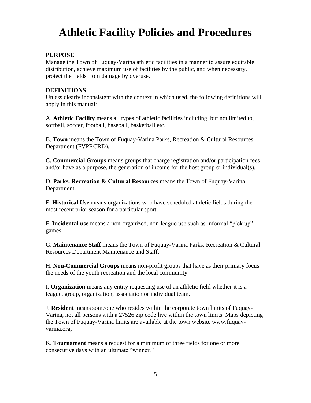## **Athletic Facility Policies and Procedures**

#### **PURPOSE**

Manage the Town of Fuquay-Varina athletic facilities in a manner to assure equitable distribution, achieve maximum use of facilities by the public, and when necessary, protect the fields from damage by overuse.

#### **DEFINITIONS**

Unless clearly inconsistent with the context in which used, the following definitions will apply in this manual:

A. **Athletic Facility** means all types of athletic facilities including, but not limited to, softball, soccer, football, baseball, basketball etc.

B. **Town** means the Town of Fuquay-Varina Parks, Recreation & Cultural Resources Department (FVPRCRD).

C. **Commercial Groups** means groups that charge registration and/or participation fees and/or have as a purpose, the generation of income for the host group or individual(s).

D. **Parks, Recreation & Cultural Resources** means the Town of Fuquay-Varina Department.

E. **Historical Use** means organizations who have scheduled athletic fields during the most recent prior season for a particular sport.

F. **Incidental use** means a non-organized, non-league use such as informal "pick up" games.

G. **Maintenance Staff** means the Town of Fuquay-Varina Parks, Recreation & Cultural Resources Department Maintenance and Staff.

H. **Non-Commercial Groups** means non-profit groups that have as their primary focus the needs of the youth recreation and the local community.

I. **Organization** means any entity requesting use of an athletic field whether it is a league, group, organization, association or individual team.

J. **Resident** means someone who resides within the corporate town limits of Fuquay-Varina, not all persons with a 27526 zip code live within the town limits. Maps depicting the Town of Fuquay-Varina limits are available at the town website [www.fuquay](http://www.fuquay-varina.org/)[varina.org.](http://www.fuquay-varina.org/)

K. **Tournament** means a request for a minimum of three fields for one or more consecutive days with an ultimate "winner."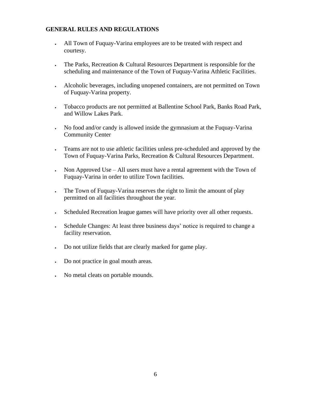#### **GENERAL RULES AND REGULATIONS**

- All Town of Fuquay-Varina employees are to be treated with respect and courtesy.
- The Parks, Recreation & Cultural Resources Department is responsible for the scheduling and maintenance of the Town of Fuquay-Varina Athletic Facilities.
- Alcoholic beverages, including unopened containers, are not permitted on Town of Fuquay-Varina property.
- Tobacco products are not permitted at Ballentine School Park, Banks Road Park, and Willow Lakes Park.
- No food and/or candy is allowed inside the gymnasium at the Fuquay-Varina Community Center
- Teams are not to use athletic facilities unless pre-scheduled and approved by the Town of Fuquay-Varina Parks, Recreation & Cultural Resources Department.
- Non Approved Use All users must have a rental agreement with the Town of Fuquay-Varina in order to utilize Town facilities.
- The Town of Fuguay-Varina reserves the right to limit the amount of play permitted on all facilities throughout the year.
- Scheduled Recreation league games will have priority over all other requests.
- Schedule Changes: At least three business days' notice is required to change a facility reservation.
- Do not utilize fields that are clearly marked for game play.
- Do not practice in goal mouth areas.
- No metal cleats on portable mounds.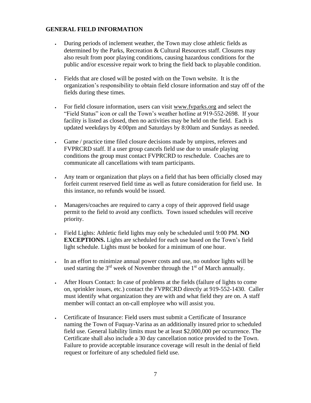#### **GENERAL FIELD INFORMATION**

- During periods of inclement weather, the Town may close athletic fields as determined by the Parks, Recreation & Cultural Resources staff. Closures may also result from poor playing conditions, causing hazardous conditions for the public and/or excessive repair work to bring the field back to playable condition.
- Fields that are closed will be posted with on the Town website. It is the organization's responsibility to obtain field closure information and stay off of the fields during these times.
- For field closure information, users can visit [www.fvparks.org](http://www.fvparks.org/) and select the "Field Status" icon or call the Town's weather hotline at 919-552-2698. If your facility is listed as closed, then no activities may be held on the field. Each is updated weekdays by 4:00pm and Saturdays by 8:00am and Sundays as needed.
- Game / practice time filed closure decisions made by umpires, referees and FVPRCRD staff. If a user group cancels field use due to unsafe playing conditions the group must contact FVPRCRD to reschedule. Coaches are to communicate all cancellations with team participants.
- Any team or organization that plays on a field that has been officially closed may forfeit current reserved field time as well as future consideration for field use. In this instance, no refunds would be issued.
- Managers/coaches are required to carry a copy of their approved field usage permit to the field to avoid any conflicts. Town issued schedules will receive priority.
- Field Lights: Athletic field lights may only be scheduled until 9:00 PM. **NO EXCEPTIONS.** Lights are scheduled for each use based on the Town's field light schedule. Lights must be booked for a minimum of one hour.
- In an effort to minimize annual power costs and use, no outdoor lights will be used starting the  $3<sup>rd</sup>$  week of November through the  $1<sup>st</sup>$  of March annually.
- After Hours Contact: In case of problems at the fields (failure of lights to come on, sprinkler issues, etc.) contact the FVPRCRD directly at 919-552-1430. Caller must identify what organization they are with and what field they are on. A staff member will contact an on-call employee who will assist you.
- Certificate of Insurance: Field users must submit a Certificate of Insurance naming the Town of Fuquay-Varina as an additionally insured prior to scheduled field use. General liability limits must be at least \$2,000,000 per occurrence. The Certificate shall also include a 30 day cancellation notice provided to the Town. Failure to provide acceptable insurance coverage will result in the denial of field request or forfeiture of any scheduled field use.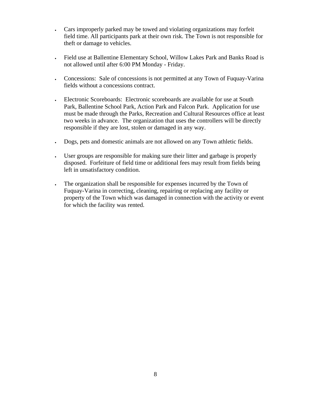- Cars improperly parked may be towed and violating organizations may forfeit field time. All participants park at their own risk. The Town is not responsible for theft or damage to vehicles.
- Field use at Ballentine Elementary School, Willow Lakes Park and Banks Road is not allowed until after 6:00 PM Monday - Friday.
- Concessions: Sale of concessions is not permitted at any Town of Fuquay-Varina fields without a concessions contract.
- Electronic Scoreboards: Electronic scoreboards are available for use at South Park, Ballentine School Park, Action Park and Falcon Park. Application for use must be made through the Parks, Recreation and Cultural Resources office at least two weeks in advance. The organization that uses the controllers will be directly responsible if they are lost, stolen or damaged in any way.
- Dogs, pets and domestic animals are not allowed on any Town athletic fields.
- User groups are responsible for making sure their litter and garbage is properly disposed. Forfeiture of field time or additional fees may result from fields being left in unsatisfactory condition.
- The organization shall be responsible for expenses incurred by the Town of Fuquay-Varina in correcting, cleaning, repairing or replacing any facility or property of the Town which was damaged in connection with the activity or event for which the facility was rented.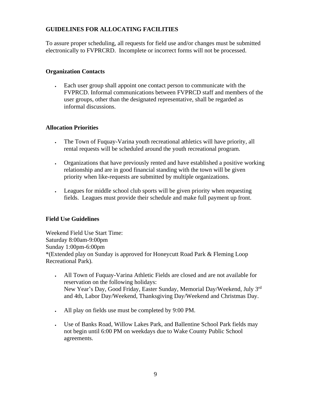#### **GUIDELINES FOR ALLOCATING FACILITIES**

To assure proper scheduling, all requests for field use and/or changes must be submitted electronically to FVPRCRD. Incomplete or incorrect forms will not be processed.

#### **Organization Contacts**

• Each user group shall appoint one contact person to communicate with the FVPRCD. Informal communications between FVPRCD staff and members of the user groups, other than the designated representative, shall be regarded as informal discussions.

#### **Allocation Priorities**

- The Town of Fuquay-Varina youth recreational athletics will have priority, all rental requests will be scheduled around the youth recreational program.
- Organizations that have previously rented and have established a positive working relationship and are in good financial standing with the town will be given priority when like-requests are submitted by multiple organizations.
- Leagues for middle school club sports will be given priority when requesting fields. Leagues must provide their schedule and make full payment up front.

#### **Field Use Guidelines**

Weekend Field Use Start Time: Saturday 8:00am-9:00pm Sunday 1:00pm-6:00pm \*(Extended play on Sunday is approved for Honeycutt Road Park & Fleming Loop Recreational Park).

- All Town of Fuquay-Varina Athletic Fields are closed and are not available for reservation on the following holidays: New Year's Day, Good Friday, Easter Sunday, Memorial Day/Weekend, July 3rd and 4th, Labor Day/Weekend, Thanksgiving Day/Weekend and Christmas Day.
- All play on fields use must be completed by 9:00 PM.
- Use of Banks Road, Willow Lakes Park, and Ballentine School Park fields may not begin until 6:00 PM on weekdays due to Wake County Public School agreements.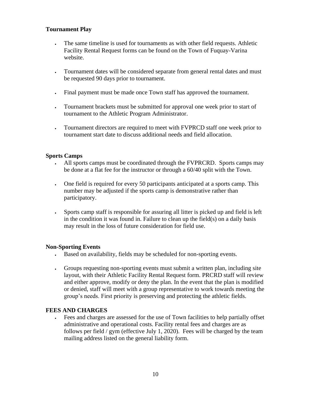#### **Tournament Play**

- The same timeline is used for tournaments as with other field requests. Athletic Facility Rental Request forms can be found on the Town of Fuquay-Varina website.
- Tournament dates will be considered separate from general rental dates and must be requested 90 days prior to tournament.
- Final payment must be made once Town staff has approved the tournament.
- Tournament brackets must be submitted for approval one week prior to start of tournament to the Athletic Program Administrator.
- Tournament directors are required to meet with FVPRCD staff one week prior to tournament start date to discuss additional needs and field allocation.

#### **Sports Camps**

- All sports camps must be coordinated through the FVPRCRD. Sports camps may be done at a flat fee for the instructor or through a 60/40 split with the Town.
- One field is required for every 50 participants anticipated at a sports camp. This number may be adjusted if the sports camp is demonstrative rather than participatory.
- Sports camp staff is responsible for assuring all litter is picked up and field is left in the condition it was found in. Failure to clean up the field(s) on a daily basis may result in the loss of future consideration for field use.

#### **Non-Sporting Events**

- Based on availability, fields may be scheduled for non-sporting events.
- Groups requesting non-sporting events must submit a written plan, including site layout, with their Athletic Facility Rental Request form. PRCRD staff will review and either approve, modify or deny the plan. In the event that the plan is modified or denied, staff will meet with a group representative to work towards meeting the group's needs. First priority is preserving and protecting the athletic fields.

#### **FEES AND CHARGES**

• Fees and charges are assessed for the use of Town facilities to help partially offset administrative and operational costs. Facility rental fees and charges are as follows per field / gym (effective July 1, 2020). Fees will be charged by the team mailing address listed on the general liability form.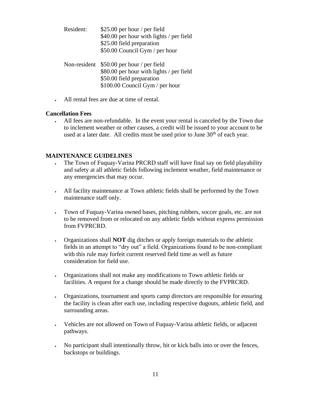- Resident: \$25.00 per hour / per field \$40.00 per hour with lights / per field \$25.00 field preparation \$50.00 Council Gym / per hour
- Non-resident \$50.00 per hour / per field \$80.00 per hour with lights / per field \$50.00 field preparation \$100.00 Council Gym / per hour
- All rental fees are due at time of rental.

#### **Cancellation Fees**

• All fees are non-refundable. In the event your rental is canceled by the Town due to inclement weather or other causes, a credit will be issued to your account to be used at a later date. All credits must be used prior to June  $30<sup>th</sup>$  of each year.

#### **MAINTENANCE GUIDELINES**

- The Town of Fuquay-Varina PRCRD staff will have final say on field playability and safety at all athletic fields following inclement weather, field maintenance or any emergencies that may occur.
- All facility maintenance at Town athletic fields shall be performed by the Town maintenance staff only.
- Town of Fuquay-Varina owned bases, pitching rubbers, soccer goals, etc. are not to be removed from or relocated on any athletic fields without express permission from FVPRCRD.
- Organizations shall **NOT** dig ditches or apply foreign materials to the athletic fields in an attempt to "dry out" a field. Organizations found to be non-compliant with this rule may forfeit current reserved field time as well as future consideration for field use.
- Organizations shall not make any modifications to Town athletic fields or facilities. A request for a change should be made directly to the FVPRCRD.
- Organizations, tournament and sports camp directors are responsible for ensuring the facility is clean after each use, including respective dugouts, athletic field, and surrounding areas.
- Vehicles are not allowed on Town of Fuquay-Varina athletic fields, or adjacent pathways.
- No participant shall intentionally throw, hit or kick balls into or over the fences, backstops or buildings.